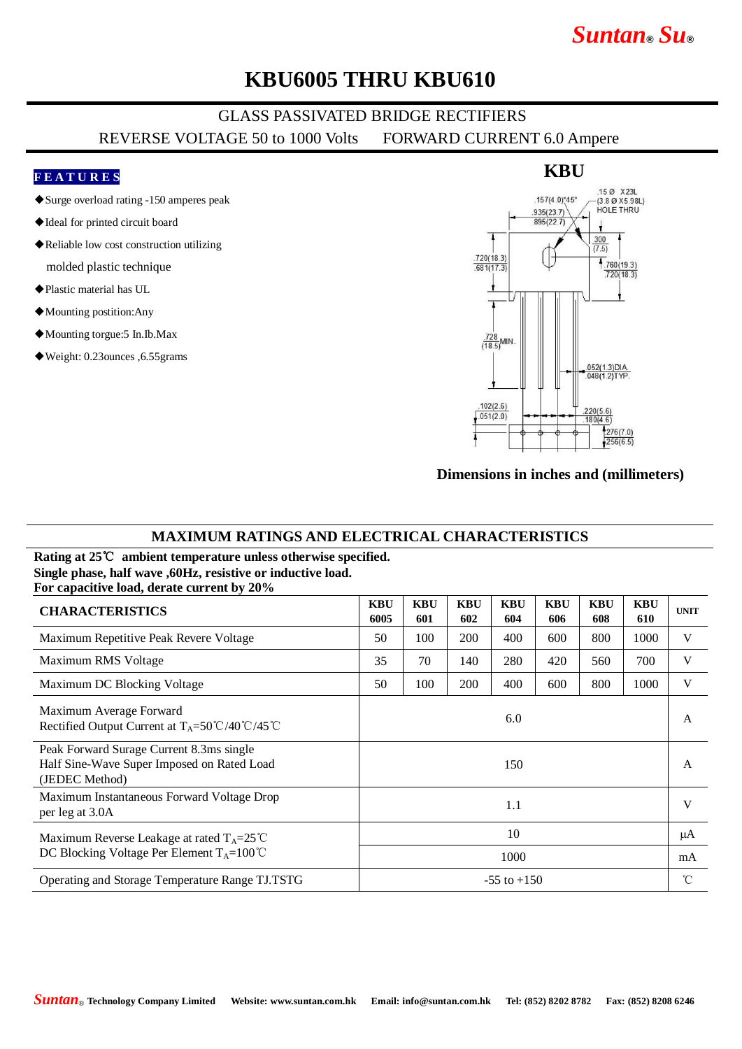# *Suntan***®** *Su***®**

### **KBU6005 THRU KBU610**

### GLASS PASSIVATED BRIDGE RECTIFIERS REVERSE VOLTAGE 50 to 1000 Volts FORWARD CURRENT 6.0 Ampere

#### **F E A T U R E S**

- ◆Surge overload rating -150 amperes peak
- ◆Ideal for printed circuit board
- ◆Reliable low cost construction utilizing molded plastic technique
- ◆Plastic material has UL
- ◆Mounting postition:Any
- ◆Mounting torgue:5 In.Ib.Max
- ◆Weight: 0.23ounces ,6.55grams



#### **Dimensions in inches and (millimeters)**

#### **MAXIMUM RATINGS AND ELECTRICAL CHARACTERISTICS**

**Rating at 25**℃ **ambient temperature unless otherwise specified. Single phase, half wave ,60Hz, resistive or inductive load. For capacitive load, derate current by 20%**

| <b>CHARACTERISTICS</b>                                                                                       | <b>KBU</b><br>6005 | <b>KBU</b><br>601 | <b>KBU</b><br>602 | <b>KBU</b><br>604 | <b>KBU</b><br>606 | <b>KBU</b><br>608 | <b>KBU</b><br>610 | <b>UNIT</b>  |
|--------------------------------------------------------------------------------------------------------------|--------------------|-------------------|-------------------|-------------------|-------------------|-------------------|-------------------|--------------|
| Maximum Repetitive Peak Revere Voltage                                                                       | 50                 | 100               | 200               | 400               | 600               | 800               | 1000              | V            |
| Maximum RMS Voltage                                                                                          | 35                 | 70                | 140               | 280               | 420               | 560               | 700               | V            |
| Maximum DC Blocking Voltage                                                                                  | 50                 | 100               | 200               | 400               | 600               | 800               | 1000              | V            |
| Maximum Average Forward<br>Rectified Output Current at $T_A = 50^{\circ}C/40^{\circ}C/45^{\circ}C$           | 6.0                |                   |                   |                   |                   |                   |                   | A            |
| Peak Forward Surage Current 8.3ms single<br>Half Sine-Wave Super Imposed on Rated Load<br>(JEDEC Method)     | 150                |                   |                   |                   |                   |                   |                   | $\mathsf{A}$ |
| Maximum Instantaneous Forward Voltage Drop<br>per leg at 3.0A                                                | 1.1                |                   |                   |                   |                   |                   |                   | V            |
| Maximum Reverse Leakage at rated $T_A = 25^{\circ}C$<br>DC Blocking Voltage Per Element $T_A = 100^{\circ}C$ | 10                 |                   |                   |                   |                   |                   |                   | μA           |
|                                                                                                              | 1000               |                   |                   |                   |                   |                   |                   | mA           |
| Operating and Storage Temperature Range TJ.TSTG                                                              | $-55$ to $+150$    |                   |                   |                   |                   |                   |                   | $^{\circ}$ C |

#### **KBU**